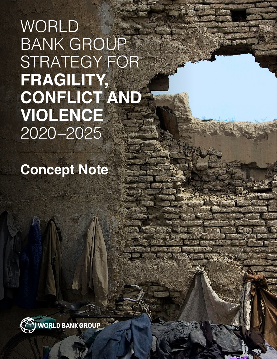# WORLD BANK GROUP STRATEGY FOR **FRAGILITY, CONFLICT AND VIOLENCE**  2020–2025

**Concept Note**



WORLD BANK GROUP STRATEGY FOR FRAGILITY STRATEGY FOR FRAGILITY AND VIOLENCE 2020–2020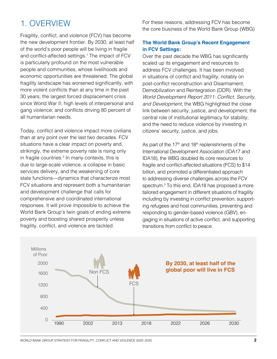# 1. OVERVIEW

Fragility, conflict, and violence (FCV) has become the new development frontier. By 2030, at least half of the world's poor people will be living in fragile and conflict-affected settings.<sup>1</sup> The impact of FCV is particularly profound on the most vulnerable people and communities, whose livelihoods and economic opportunities are threatened. The global fragility landscape has worsened significantly, with more violent conflicts than at any time in the past 30 years; the largest forced displacement crisis since World War II; high levels of interpersonal and gang violence; and conflicts driving 80 percent of all humanitarian needs.

Today, conflict and violence impact more civilians than at any point over the last two decades. FCV situations have a clear impact on poverty and, strikingly, the extreme poverty rate is rising only in fragile countries.<sup>2</sup> In many contexts, this is due to large-scale violence, a collapse in basic services delivery, and the weakening of core state functions—dynamics that characterize most FCV situations and represent both a humanitarian and development challenge that calls for comprehensive and coordinated international responses. It will prove impossible to achieve the World Bank Group's twin goals of ending extreme poverty and boosting shared prosperity unless fragility, conflict, and violence are tackled.

For these reasons, addressing FCV has become the core business of the World Bank Group (WBG)

### **The World Bank Group's Recent Engagement in FCV Settings:**

Over the past decade the WBG has significantly scaled up its engagement and resources to address FCV challenges. It has been involved in situations of conflict and fragility, notably on post-conflict reconstruction and Disarmament, Demobilization and Reintegration (DDR). With the World Development Report 2011: Conflict, Security, *and Development*, the WBG highlighted the close link between security, justice, and development; the central role of institutional legitimacy for stability; and the need to reduce violence by investing in citizens' security, justice, and jobs.

As part of the  $17<sup>th</sup>$  and  $18<sup>th</sup>$  replenishments of the International Development Association (IDA17 and IDA18), the WBG doubled its core resources to fragile and conflict-affected situations (FCS) to \$14 billion, and promoted a differentiated approach to addressing diverse challenges across the FCV spectrum.3 To this end, IDA18 has proposed a more tailored engagement in different situations of fragility including by investing in conflict prevention, supporting refugees and host communities, preventing and responding to gender-based violence (GBV), engaging in situations of active conflict, and supporting transitions from conflict to peace.

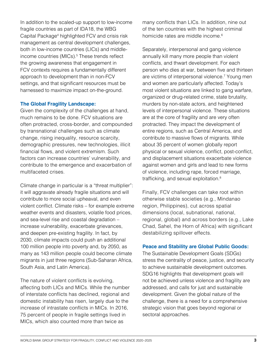In addition to the scaled-up support to low-income fragile countries as part of IDA18, the WBG Capital Package<sup>4</sup> highlighted FCV and crisis risk management as central development challenges, both in low-income countries (LICs) and middleincome countries (MICs).<sup>5</sup> These trends reflect the growing awareness that engagement in FCV contexts requires a fundamentally different approach to development than in non-FCV settings, and that significant resources must be harnessed to maximize impact on-the-ground.

#### **The Global Fragility Landscape:**

Given the complexity of the challenges at hand, much remains to be done. FCV situations are often protracted, cross-border, and compounded by transnational challenges such as climate change, rising inequality, resource scarcity, demographic pressures, new technologies, illicit financial flows, and violent extremism. Such factors can increase countries' vulnerability, and contribute to the emergence and exacerbation of multifaceted crises.

Climate change in particular is a "threat multiplier": it will aggravate already fragile situations and will contribute to more social upheaval, and even violent conflict. Climate risks – for example extreme weather events and disasters, volatile food prices, and sea-level rise and coastal degradation – increase vulnerability, exacerbate grievances, and deepen pre-existing fragility. In fact, by 2030, climate impacts could push an additional 100 million people into poverty and, by 2050, as many as 143 million people could become climate migrants in just three regions (Sub-Saharan Africa, South Asia, and Latin America).

The nature of violent conflicts is evolving, affecting both LICs and MICs. While the number of interstate conflicts has declined, regional and domestic instability has risen, largely due to the increase of intrastate conflicts in MICs. In 2016, 75 percent of people in fragile settings lived in MICs, which also counted more than twice as

many conflicts than LICs. In addition, nine out of the ten countries with the highest criminal homicide rates are middle income.<sup>6</sup>

Separately, interpersonal and gang violence annually kill many more people than violent conflicts, and thwart development. For each person who dies at war, between five and thirteen are victims of interpersonal violence.7 Young men and women are particularly affected. Today's most violent situations are linked to gang warfare, organized or drug-related crime, state brutality, murders by non-state actors, and heightened levels of interpersonal violence. These situations are at the core of fragility and are very often protracted. They impact the development of entire regions, such as Central America, and contribute to massive flows of migrants. While about 35 percent of women globally report physical or sexual violence, conflict, post-conflict, and displacement situations exacerbate violence against women and girls and lead to new forms of violence, including rape, forced marriage, trafficking, and sexual exploitation.8

Finally, FCV challenges can take root within otherwise stable societies (e.g., Mindanao region, Philippines), cut across spatial dimensions (local, subnational, national, regional, global) and across borders (e.g., Lake Chad, Sahel, the Horn of Africa) with significant destabilizing spillover effects.

#### **Peace and Stability are Global Public Goods:**

The Sustainable Development Goals (SDGs) stress the centrality of peace, justice, and security to achieve sustainable development outcomes. SDG16 highlights that development goals will not be achieved unless violence and fragility are addressed, and calls for just and sustainable development. Given the global nature of the challenge, there is a need for a comprehensive strategic vision that goes beyond regional or sectoral approaches.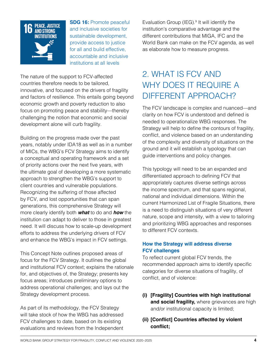

**SDG 16:** Promote peaceful and inclusive societies for sustainable development, provide access to justice for all and build effective, accountable and inclusive institutions at all levels

The nature of the support to FCV-affected countries therefore needs to be tailored, innovative, and focused on the drivers of fragility and factors of resilience. This entails going beyond economic growth and poverty reduction to also focus on promoting peace and stability—thereby challenging the notion that economic and social development alone will curb fragility.

Building on the progress made over the past years, notably under IDA18 as well as in a number of MICs, the WBG's FCV Strategy aims to identify a conceptual and operating framework and a set of priority actions over the next five years, with the ultimate goal of developing a more systematic approach to strengthen the WBG's support to client countries and vulnerable populations. Recognizing the suffering of those affected by FCV, and lost opportunities that can span generations, this comprehensive Strategy will more clearly identify both *what* to do and *how* the institution can adapt to deliver to those in greatest need. It will discuss how to scale-up development efforts to address the underlying drivers of FCV and enhance the WBG's impact in FCV settings.

This Concept Note outlines proposed areas of focus for the FCV Strategy. It outlines the global and institutional FCV context; explains the rationale for, and objectives of, the Strategy; presents key focus areas; introduces preliminary options to address operational challenges; and lays out the Strategy development process.

As part of its methodology, the FCV Strategy will take stock of how the WBG has addressed FCV challenges to date, based on its existing evaluations and reviews from the Independent

Evaluation Group (IEG).<sup>9</sup> It will identify the institution's comparative advantage and the different contributions that MIGA, IFC and the World Bank can make on the FCV agenda, as well as elaborate how to measure progress.

# 2. WHAT IS FCV AND WHY DOES IT REQUIRE A DIFFERENT APPROACH?

The FCV landscape is complex and nuanced—and clarity on how FCV is understood and defined is needed to operationalize WBG responses. The Strategy will help to define the contours of fragility, conflict, and violence based on an understanding of the complexity and diversity of situations on the ground and it will establish a typology that can guide interventions and policy changes.

This typology will need to be an expanded and differentiated approach to defining FCV that appropriately captures diverse settings across the income spectrum, and that spans regional, national and individual dimensions. Within the current Harmonized List of Fragile Situations, there is a need to distinguish situations of very different nature, scope and intensity, with a view to tailoring and prioritizing WBG approaches and responses to different FCV contexts.

### **How the Strategy will address diverse FCV challenges**

To reflect current global FCV trends, the recommended approach aims to identify specific categories for diverse situations of fragility, of conflict, and of violence:

- **(i) [Fragility] Countries with high institutional**  and social fragility, where grievances are high and/or institutional capacity is limited;
- **(ii) [Conflict] Countries affected by violent conflict;**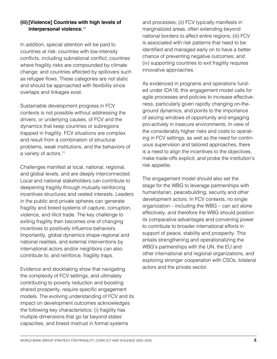### **(iii)[Violence] Countries with high levels of interpersonal violence.**<sup>10</sup>

In addition, special attention will be paid to countries at risk; countries with low-intensity conflicts, including subnational conflict; countries where fragility risks are compounded by climate change; and countries affected by spillovers such as refugee flows. These categories are not static and should be approached with flexibility since overlaps and linkages exist.

Sustainable development progress in FCV contexts is not possible without addressing the drivers, or underlying causes, of FCV and the dynamics that keep countries or subregions trapped in fragility. FCV situations are complex and result from a combination of structural problems, weak institutions, and the behaviors of a variety of actors.<sup>11</sup>

Challenges manifest at local, national, regional, and global levels, and are deeply interconnected. Local and national stakeholders can contribute to deepening fragility through mutually reinforcing incentives structures and vested interests. Leaders in the public and private spheres can generate fragility and breed systems of capture, corruption, violence, and illicit trade. The key challenge to exiting fragility then becomes one of changing incentives to positively influence behaviors. Importantly, global dynamics shape regional and national realities, and external interventions by international actors and/or neighbors can also contribute to, and reinforce, fragility traps.

Evidence and stocktaking show that navigating the complexity of FCV settings, and ultimately contributing to poverty reduction and boosting shared prosperity, require specific engagement models. The evolving understanding of FCV and its impact on development outcomes acknowledges the following key characteristics: (i) fragility has multiple dimensions that go far beyond states' capacities, and breed mistrust in formal systems

and processes; (ii) FCV typically manifests in marginalized areas, often extending beyond national borders to affect entire regions; (iii) FCV is associated with risk patterns that need to be identified and managed early on to have a better chance of preventing negative outcomes; and (iv) supporting countries to exit fragility requires innovative approaches.

As evidenced in programs and operations funded under IDA18, this engagement model calls for agile processes and policies to increase effectiveness, particularly given rapidly changing on-theground dynamics, and points to the importance of seizing windows of opportunity and engaging pro-actively in insecure environments. In view of the considerably higher risks and costs to operating in FCV settings, as well as the need for continuous supervision and tailored approaches, there is a need to align the incentives to the objectives, make trade-offs explicit, and probe the institution's risk appetite.

The engagement model should also set the stage for the WBG to leverage partnerships with humanitarian, peacebuilding, security and other development actors. In FCV contexts, no single organization – including the WBG – can act alone effectively, and therefore the WBG should position its comparative advantages and convening power to contribute to broader international efforts in support of peace, stability and prosperity. This entails strengthening and operationalizing the WBG's partnerships with the UN, the EU and other international and regional organizations, and exploring stronger cooperation with CSOs, bilateral actors and the private sector.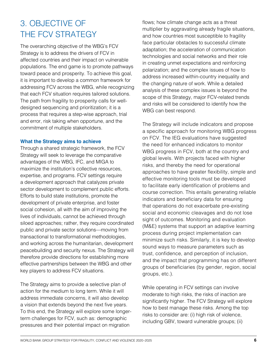# 3. OBJECTIVE OF THE FCV STRATEGY

The overarching objective of the WBG's FCV Strategy is to address the drivers of FCV in affected countries and their impact on vulnerable populations. The end game is to promote pathways toward peace and prosperity. To achieve this goal, it is important to develop a common framework for addressing FCV across the WBG, while recognizing that each FCV situation requires tailored solutions. The path from fragility to prosperity calls for welldesigned sequencing and prioritization; it is a process that requires a step-wise approach, trial and error, risk taking when opportune, and the commitment of multiple stakeholders.

#### **What the Strategy aims to achieve**

Through a shared strategic framework, the FCV Strategy will seek to leverage the comparative advantages of the WBG, IFC, and MIGA to maximize the institution's collective resources, expertise, and programs. FCV settings require a development approach that catalyzes private sector development to complement public efforts. Efforts to build state institutions, promote the development of private enterprise, and foster social cohesion, all with the aim of improving the lives of individuals, cannot be achieved through siloed approaches; rather, they require coordinated public and private sector solutions—moving from transactional to transformational methodologies, and working across the humanitarian, development peacebuilding and security nexus. The Strategy will therefore provide directions for establishing more effective partnerships between the WBG and other key players to address FCV situations.

The Strategy aims to provide a selective plan of action for the medium to long term. While it will address immediate concerns, it will also develop a vision that extends beyond the next five years. To this end, the Strategy will explore some longerterm challenges for FCV, such as: demographic pressures and their potential impact on migration

flows; how climate change acts as a threat multiplier by aggravating already fragile situations, and how countries most susceptible to fragility face particular obstacles to successful climate adaptation; the acceleration of communication technologies and social networks and their role in creating unmet expectations and reinforcing polarization; and the complex issues of how to address increased within-country inequality and the changing nature of work. While a detailed analysis of these complex issues is beyond the scope of this Strategy, major FCV-related trends and risks will be considered to identify how the WBG can best respond.

The Strategy will include indicators and propose a specific approach for monitoring WBG progress on FCV. The IEG evaluations have suggested the need for enhanced indicators to monitor WBG progress in FCV, both at the country and global levels. With projects faced with higher risks, and thereby the need for operational approaches to have greater flexibility, simple and effective monitoring tools must be developed to facilitate early identification of problems and course correction. This entails generating reliable indicators and beneficiary data for ensuring that operations do not exacerbate pre-existing social and economic cleavages and do not lose sight of outcomes. Monitoring and evaluation (M&E) systems that support an adaptive learning process during project implementation can minimize such risks. Similarly, it is key to develop sound ways to measure parameters such as trust, confidence, and perception of inclusion, and the impact that programming has on different groups of beneficiaries (by gender, region, social groups, etc.).

While operating in FCV settings can involve moderate to high risks, the risks of inaction are significantly higher. The FCV Strategy will explore how to best manage these risks. Among the top risks to consider are: (i) high risk of violence, including GBV, toward vulnerable groups; (ii)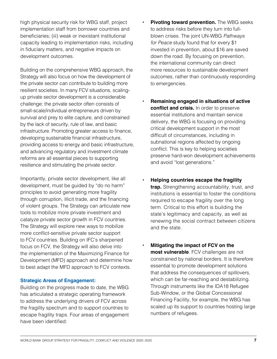high physical security risk for WBG staff, project implementation staff from borrower countries and beneficiaries; (iii) weak or inexistant institutional capacity leading to implementation risks, including in fiduciary matters, and negative impacts on development outcomes.

Building on the comprehensive WBG approach, the Strategy will also focus on how the development of the private sector can contribute to building more resilient societies. In many FCV situations, scalingup private sector development is a considerable challenge: the private sector often consists of small-scale/individual entrepreneurs driven by survival and prey to elite capture, and constrained by the lack of security, rule of law, and basic infrastructure. Promoting greater access to finance, developing sustainable financial infrastructure, providing access to energy and basic infrastructure, and advancing regulatory and investment climate reforms are all essential pieces to supporting resilience and stimulating the private sector.

Importantly, private sector development, like all development, must be guided by "do no harm" principles to avoid generating more fragility through corruption, illicit trade, and the financing of violent groups. The Strategy can articulate new tools to mobilize more private investment and catalyze private sector growth in FCV countries. The Strategy will explore new ways to mobilize more conflict-sensitive private sector support to FCV countries. Building on IFC's sharpened focus on FCV, the Strategy will also delve into the implementation of the Maximizing Finance for Development (MFD) approach and determine how to best adapt the MFD approach to FCV contexts.

#### **Strategic Areas of Engagement:**

Building on the progress made to date, the WBG has articulated a strategic operating framework to address the underlying drivers of FCV across the fragility spectrum and to support countries to escape fragility traps. Four areas of engagement have been identified:

- **• Pivoting toward prevention.** The WBG seeks to address risks before they turn into fullblown crises. The joint UN-WBG Pathways for Peace study found that for every \$1 invested in prevention, about \$16 are saved down the road. By focusing on prevention, the international community can direct more resources to sustainable development outcomes, rather than continuously responding to emergencies.
- **• Remaining engaged in situations of active conflict and crisis.** In order to preserve essential institutions and maintain service delivery, the WBG is focusing on providing critical development support in the most difficult of circumstances, including in subnational regions affected by ongoing conflict. This is key to helping societies preserve hard-won development achievements and avoid "lost generations."
- **• Helping countries escape the fragility trap.** Strengthening accountability, trust, and institutions is essential to foster the conditions required to escape fragility over the long term. Critical to this effort is building the state's legitimacy and capacity, as well as renewing the social contract between citizens and the state.
- **• Mitigating the impact of FCV on the most vulnerable**. FCV challenges are not constrained by national borders. It is therefore essential to promote development solutions that address the consequences of spillovers, which can be far-reaching and destabilizing. Through instruments like the IDA18 Refugee Sub-Window, or the Global Concessional Financing Facility, for example, the WBG has scaled up its support to countries hosting large numbers of refugees.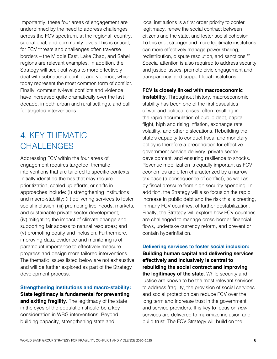Importantly, these four areas of engagement are underpinned by the need to address challenges across the FCV spectrum, at the regional, country, subnational, and community levels This is critical, for FCV threats and challenges often traverse borders – the Middle East, Lake Chad, and Sahel regions are relevant examples. In addition, the Strategy will seek out ways to more effectively deal with subnational conflict and violence, which today represent the most common form of conflict. Finally, community-level conflicts and violence have increased quite dramatically over the last decade, in both urban and rural settings, and call for targeted interventions.

# 4. KEY THEMATIC **CHALLENGES**

Addressing FCV within the four areas of engagement requires targeted, thematic interventions that are tailored to specific contexts. Initially identified themes that may require prioritization, scaled up efforts, or shifts in approaches include: (i) strengthening institutions and macro-stability; (ii) delivering services to foster social inclusion; (iii) promoting livelihoods, markets, and sustainable private sector development; (iv) mitigating the impact of climate change and supporting fair access to natural resources; and (v) promoting equity and inclusion. Furthermore, improving data, evidence and monitoring is of paramount importance to effectively measure progress and design more tailored interventions. The thematic issues listed below are not exhaustive and will be further explored as part of the Strategy development process.

**Strengthening institutions and macro-stability: State legitimacy is fundamental for preventing and exiting fragility**. The legitimacy of the state in the eyes of the population should be a key consideration in WBG interventions. Beyond building capacity, strengthening state and

local institutions is a first order priority to confer legitimacy, renew the social contract between citizens and the state, and foster social cohesion. To this end, stronger and more legitimate institutions can more effectively manage power sharing, redistribution, dispute resolution, and sanctions.<sup>12</sup> Special attention is also required to address security and justice issues, promote civic engagement and transparency, and support local institutions.

#### **FCV is closely linked with macroeconomic**

**instability**. Throughout history, macroeconomic stability has been one of the first casualties of war and political crises, often resulting in the rapid accumulation of public debt, capital flight, high and rising inflation, exchange rate volatility, and other dislocations. Rebuilding the state's capacity to conduct fiscal and monetary policy is therefore a precondition for effective government service delivery, private sector development, and ensuring resilience to shocks. Revenue mobilization is equally important as FCV economies are often characterized by a narrow tax base (a consequence of conflict), as well as by fiscal pressure from high security spending. In addition, the Strategy will also focus on the rapid increase in public debt and the risk this is creating, in many FCV countries, of further destabilization. Finally, the Strategy will explore how FCV countries are challenged to manage cross-border financial flows, undertake currency reform, and prevent or contain hyperinflation.

**Delivering services to foster social inclusion:**

**Building human capital and delivering services effectively and inclusively is central to rebuilding the social contract and improving the legitimacy of the state.** While security and justice are known to be the most relevant services to address fragility, the provision of social services and social protection can reduce FCV over the long term and increase trust in the government and service providers. It is key to focus on *how* services are delivered to maximize inclusion and build trust. The FCV Strategy will build on the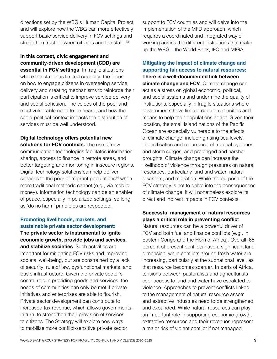directions set by the WBG's Human Capital Project and will explore how the WBG can more effectively support basic service delivery in FCV settings and strengthen trust between citizens and the state.<sup>13</sup>

**In this context, civic engagement and community-driven development (CDD) are essential in FCV settings**. In fragile situations where the state has limited capacity, the focus on how to engage citizens in overseeing service delivery and creating mechanisms to reinforce their participation is critical to improve service delivery and social cohesion. The voices of the poor and most vulnerable need to be heard, and how the socio-political context impacts the distribution of services must be well understood.

**Digital technology offers potential new solutions for FCV contexts.** The use of new communication technologies facilitates information sharing, access to finance in remote areas, and better targeting and monitoring in insecure regions. Digital technology solutions can help deliver services to the poor or migrant populations<sup>14</sup> when more traditional methods cannot (e.g., via mobile money). Information technology can be an enabler of peace, especially in polarized settings, so long as 'do no harm' principles are respected.

### **Promoting livelihoods, markets, and sustainable private sector development:**

**The private sector is instrumental to ignite economic growth, provide jobs and services, and stabilize societies**. Such activities are important for mitigating FCV risks and improving societal well-being, but are constrained by a lack of security, rule of law, dysfunctional markets, and basic infrastructure. Given the private sector's central role in providing goods and services, the needs of communities can only be met if private initiatives and enterprises are able to flourish. Private sector development can contribute to increased tax revenue, which allows governments, in turn, to strengthen their provision of services to citizens. The Strategy will explore new ways to mobilize more conflict-sensitive private sector

support to FCV countries and will delve into the implementation of the MFD approach, which requires a coordinated and integrated way of working across the different institutions that make up the WBG – the World Bank, IFC and MIGA.

# **Mitigating the impact of climate change and supporting fair access to natural resources:**

**There is a well-documented link between climate change and FCV**. Climate change can act as a stress on global economic, political, and social systems and undermine the quality of institutions, especially in fragile situations where governments have limited coping capacities and means to help their populations adapt. Given their location, the small island nations of the Pacific Ocean are especially vulnerable to the effects of climate change, including rising sea levels, intensification and recurrence of tropical cyclones and storm surges, and prolonged and harsher droughts. Climate change can increase the likelihood of violence through pressures on natural resources, particularly land and water, natural disasters, and migration. While the purpose of the FCV strategy is not to delve into the consequences of climate change, it will nonetheless explore its direct and indirect impacts in FCV contexts.

## **Successful management of natural resources plays a critical role in preventing conflict**.

Natural resources can be a powerful driver of FCV and both fuel and finance conflicts (e.g., in Eastern Congo and the Horn of Africa). Overall, 65 percent of present conflicts have a significant land dimension, while conflicts around fresh water are increasing, particularly at the subnational level, as that resource becomes scarcer. In parts of Africa, tensions between pastoralists and agriculturists over access to land and water have escalated to violence. Approaches to prevent conflicts linked to the management of natural resource assets and extractive industries need to be strengthened and expanded. While natural resources can play an important role in supporting economic growth, extractive resources and their revenues represent a major risk of violent conflict if not managed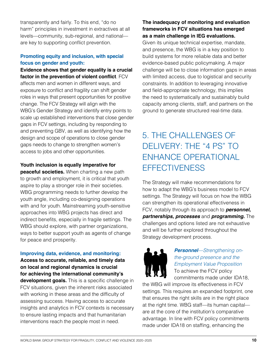transparently and fairly. To this end, "do no harm" principles in investment in extractives at all levels—community, sub-regional, and national are key to supporting conflict prevention.

### **Promoting equity and inclusion, with special focus on gender and youth:**

**Evidence shows that gender equality is a crucial factor in the prevention of violent conflict**. FCV affects men and women in different ways, and exposure to conflict and fragility can shift gender roles in ways that present opportunities for positive change. The FCV Strategy will align with the WBG's Gender Strategy and identify entry points to scale up established interventions that close gender gaps in FCV settings, including by responding to and preventing GBV, as well as identifying how the design and scope of operations to close gender gaps needs to change to strengthen women's access to jobs and other opportunities.

#### **Youth inclusion is equally imperative for**

**peaceful societies.** When charting a new path to growth and employment, it is critical that youth aspire to play a stronger role in their societies. WBG programming needs to further develop the youth angle, including co-designing operations with and for youth. Mainstreaming youth-sensitive approaches into WBG projects has direct and indirect benefits, especially in fragile settings. The WBG should explore, with partner organizations, ways to better support youth as agents of change for peace and prosperity.

#### **Improving data, evidence, and monitoring:**

**Access to accurate, reliable, and timely data on local and regional dynamics is crucial for achieving the international community's development goals.** This is a specific challenge in FCV situations, given the inherent risks associated with working in these areas and the difficulty of assessing success. Having access to accurate insights and analytics in FCV contexts is necessary to ensure lasting impacts and that humanitarian interventions reach the people most in need.

### **The inadequacy of monitoring and evaluation frameworks in FCV situations has emerged as a main challenge in IEG evaluations.**

Given its unique technical expertise, mandate, and presence, the WBG is in a key position to build systems for more reliable data and better evidence-based public policymaking. A major challenge will be to close information gaps in areas with limited access, due to logistical and security constraints. In addition to leveraging innovative and field-appropriate technology, this implies the need to systematically and sustainably build capacity among clients, staff, and partners on the ground to generate structured real-time data.

# 5. THE CHALLENGES OF DELIVERY: THE "4 PS" TO ENHANCE OPERATIONAL **EFFECTIVENESS**

The Strategy will make recommendations for how to adapt the WBG's business model to FCV settings. The Strategy will focus on how the WBG can strengthen its operational effectiveness in FCV, notably through its approach to *personnel, partnerships, processes* and *programming.* The challenges and options listed are not exhaustive and will be further explored throughout the Strategy development process.



### *Personnel*—Strengthening onthe-ground presence and the Employment Value Proposition To achieve the FCV policy

commitments made under IDA18, the WBG will improve its effectiveness in FCV settings. This requires an expanded footprint, one that ensures the right skills are in the right place at the right time. WBG staff—its human capital are at the core of the institution's comparative advantage. In line with FCV policy commitments made under IDA18 on staffing, enhancing the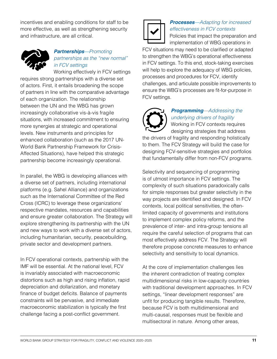incentives and enabling conditions for staff to be more effective, as well as strengthening security and infrastructure, are all critical.



### *Partnerships*—Promoting partnerships as the "new normal" in FCV settings

Working effectively in FCV settings requires strong partnerships with a diverse set of actors. First, it entails broadening the scope of partners in line with the comparative advantage of each organization. The relationship between the UN and the WBG has grown increasingly collaborative vis-à-vis fragile situations, with increased commitment to ensuring more synergies at strategic and operational levels. New instruments and principles for enhanced collaboration (such as the 2017 UN-World Bank Partnership Framework for Crisis-Affected Situations), have helped this strategic partnership become increasingly operational.

In parallel, the WBG is developing alliances with a diverse set of partners, including international platforms (e.g. Sahel Alliance) and organizations such as the International Committee of the Red Cross (ICRC) to leverage these organizations' respective mandates, resources and capabilities and ensure greater collaboration. The Strategy will explore strengthening its partnership with the UN and new ways to work with a diverse set of actors, including humanitarian, security, peacebuilding, private sector and development partners.

In FCV operational contexts, partnership with the IMF will be essential. At the national level, FCV is invariably associated with macroeconomic distortions such as high and rising inflation, rapid depreciation and dollarization, and monetary finance of budget deficits. Balance of payments constraints will be pervasive, and immediate macroeconomic stabilization is typically the first challenge facing a post-conflict government.



# *Processes*—Adapting for increased effectiveness in FCV contexts

Policies that impact the preparation and implementation of WBG operations in

FCV situations may need to be clarified or adapted to strengthen the WBG's operational effectiveness in FCV settings. To this end, stock-taking exercises will help to explore the adequacy of WBG policies, processes and procedures for FCV, identify challenges, and articulate possible improvements to ensure the WBG's processes are fit-for-purpose in FCV settings.



# *Programming*—Addressing the underlying drivers of fragility

Working in FCV contexts requires designing strategies that address

the drivers of fragility and responding holistically to them. The FCV Strategy will build the case for designing FCV-sensitive strategies and portfolios that fundamentally differ from non-FCV programs.

Selectivity and sequencing of programming is of utmost importance in FCV settings. The complexity of such situations paradoxically calls for simple responses but greater selectivity in the way projects are identified and designed. In FCV contexts, local political sensitivities, the oftenlimited capacity of governments and institutions to implement complex policy reforms, and the prevalence of inter- and intra-group tensions all require the careful selection of programs that can most effectively address FCV. The Strategy will therefore propose concrete measures to enhance selectivity and sensitivity to local dynamics*.* 

At the core of implementation challenges lies the inherent contradiction of treating complex multidimensional risks in low-capacity countries with traditional development approaches. In FCV settings, "linear development responses" are unfit for producing tangible results. Therefore, because FCV is both multidimensional and multi-causal, responses must be flexible and multisectoral in nature. Among other areas,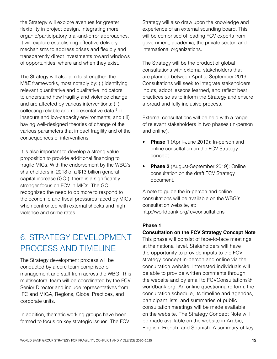the Strategy will explore avenues for greater flexibility in project design, integrating more organic/participatory trial-and-error approaches. It will explore establishing effective delivery mechanisms to address crises and flexibly and transparently direct investments toward windows of opportunities, where and when they exist.

The Strategy will also aim to strengthen the M&E frameworks, most notably by: (i) identifying relevant quantitative and qualitative indicators to understand how fragility and violence change and are affected by various interventions; (ii) collecting reliable and representative data<sup>15</sup> in insecure and low-capacity environments; and (iii) having well-designed theories of change of the various parameters that impact fragility and of the consequences of interventions.

It is also important to develop a strong value proposition to provide additional financing to fragile MICs. With the endorsement by the WBG's shareholders in 2018 of a \$13 billion general capital increase (GCI), there is a significantly stronger focus on FCV in MICs. The GCI recognized the need to do more to respond to the economic and fiscal pressures faced by MICs when confronted with external shocks and high violence and crime rates.

# 6. STRATEGY DEVELOPMENT PROCESS AND TIMELINE

The Strategy development process will be conducted by a core team comprised of management and staff from across the WBG. This multisectoral team will be coordinated by the FCV Senior Director and include representatives from IFC and MIGA, Regions, Global Practices, and corporate units.

In addition, thematic working groups have been formed to focus on key strategic issues. The FCV Strategy will also draw upon the knowledge and experience of an external sounding board. This will be comprised of leading FCV experts from government, academia, the private sector, and international organizations.

The Strategy will be the product of global consultations with external stakeholders that are planned between April to September 2019. Consultations will seek to integrate stakeholders' inputs, adopt lessons learned, and reflect best practices so as to inform the Strategy and ensure a broad and fully inclusive process.

External consultations will be held with a range of relevant stakeholders in two phases (in-person and online).

- **Phase 1** (April–June 2019): In-person and online consultation on the FCV Strategy concept.
- **Phase 2** (August-September 2019): Online consultation on the draft FCV Strategy document.

A note to guide the in-person and online consultations will be available on the WBG's consultation website, at: <http://worldbank.org/fcvconsultations>

#### **Phase 1**

#### **Consultation on the FCV Strategy Concept Note**

This phase will consist of face-to-face meetings at the national level. Stakeholders will have the opportunity to provide inputs to the FCV strategy concept in-person and online via the consultation website. Interested individuals will be able to provide written comments through the website and by email to **[FCVConsultations@](mailto:FCVConsultations@worldbank.org)** [worldbank.org](mailto:FCVConsultations@worldbank.org). An online questionnaire form, the consultation schedule, its timeline and agendas, participant lists, and summaries of public consultation meetings will be made available on the website. The Strategy Concept Note will be made available on the website in Arabic, English, French, and Spanish. A summary of key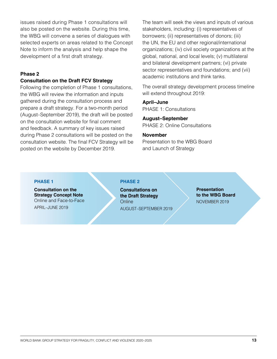issues raised during Phase 1 consultations will also be posted on the website. During this time, the WBG will convene a series of dialogues with selected experts on areas related to the Concept Note to inform the analysis and help shape the development of a first draft strategy.

#### **Phase 2**

#### **Consultation on the Draft FCV Strategy**

Following the completion of Phase 1 consultations, the WBG will review the information and inputs gathered during the consultation process and prepare a draft strategy. For a two-month period (August–September 2019), the draft will be posted on the consultation website for final comment and feedback. A summary of key issues raised during Phase 2 consultations will be posted on the consultation website. The final FCV Strategy will be posted on the website by December 2019.

The team will seek the views and inputs of various stakeholders, including: (i) representatives of borrowers; (ii) representatives of donors; (iii) the UN, the EU and other regional/international organizations; (iv) civil society organizations at the global, national, and local levels; (v) multilateral and bilateral development partners; (vi) private sector representatives and foundations; and (vii) academic institutions and think tanks.

The overall strategy development process timeline will extend throughout 2019:

#### **April–June**

PHASE 1: Consultations

#### **August–September**

PHASE 2: Online Consultations

#### **November**

Presentation to the WBG Board and Launch of Strategy

#### **PHASE 1**

**Consultation on the Strategy Concept Note** Online and Face-to-Face APRIL–JUNE 2019

#### **PHASE 2**

**Consultations on the Draft Strategy Online** AUGUST–SEPTEMBER 2019

**Presentation to the WBG Board** NOVEMBER 2019